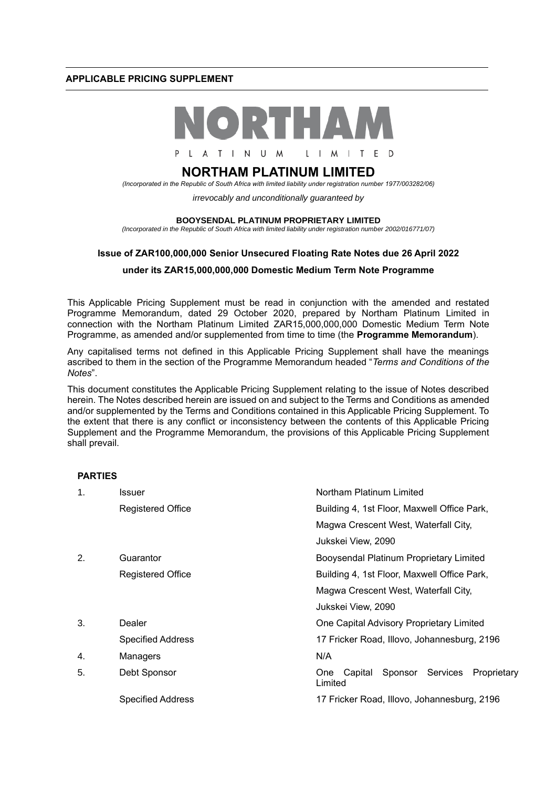### **APPLICABLE PRICING SUPPLEMENT**



L A T I N U M L I M I T E D

# **NORTHAM PLATINUM LIMITED**

*(Incorporated in the Republic of South Africa with limited liability under registration number 1977/003282/06)*

*irrevocably and unconditionally guaranteed by* 

#### **BOOYSENDAL PLATINUM PROPRIETARY LIMITED**

*(Incorporated in the Republic of South Africa with limited liability under registration number 2002/016771/07)*

# **Issue of ZAR100,000,000 Senior Unsecured Floating Rate Notes due 26 April 2022**

### **under its ZAR15,000,000,000 Domestic Medium Term Note Programme**

This Applicable Pricing Supplement must be read in conjunction with the amended and restated Programme Memorandum, dated 29 October 2020, prepared by Northam Platinum Limited in connection with the Northam Platinum Limited ZAR15,000,000,000 Domestic Medium Term Note Programme, as amended and/or supplemented from time to time (the **Programme Memorandum**).

Any capitalised terms not defined in this Applicable Pricing Supplement shall have the meanings ascribed to them in the section of the Programme Memorandum headed "*Terms and Conditions of the Notes*".

This document constitutes the Applicable Pricing Supplement relating to the issue of Notes described herein. The Notes described herein are issued on and subject to the Terms and Conditions as amended and/or supplemented by the Terms and Conditions contained in this Applicable Pricing Supplement. To the extent that there is any conflict or inconsistency between the contents of this Applicable Pricing Supplement and the Programme Memorandum, the provisions of this Applicable Pricing Supplement shall prevail.

### **PARTIES**

| $\mathbf 1$ . | Issuer                   | Northam Platinum Limited                                               |
|---------------|--------------------------|------------------------------------------------------------------------|
|               | <b>Registered Office</b> | Building 4, 1st Floor, Maxwell Office Park,                            |
|               |                          | Magwa Crescent West, Waterfall City,                                   |
|               |                          | Jukskei View, 2090                                                     |
| 2.            | Guarantor                | Booysendal Platinum Proprietary Limited                                |
|               | <b>Registered Office</b> | Building 4, 1st Floor, Maxwell Office Park,                            |
|               |                          | Magwa Crescent West, Waterfall City,                                   |
|               |                          | Jukskei View, 2090                                                     |
| 3.            | Dealer                   | One Capital Advisory Proprietary Limited                               |
|               | <b>Specified Address</b> | 17 Fricker Road, Illovo, Johannesburg, 2196                            |
| 4.            | Managers                 | N/A                                                                    |
| 5.            | Debt Sponsor             | Sponsor<br>Services<br>Proprietary<br>Capital<br><b>One</b><br>Limited |
|               | <b>Specified Address</b> | 17 Fricker Road, Illovo, Johannesburg, 2196                            |
|               |                          |                                                                        |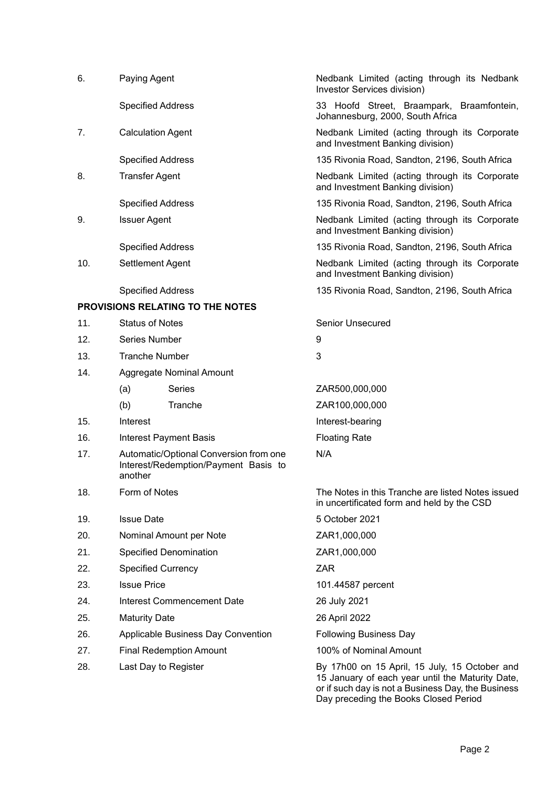| 6.  | Paying Agent                                                                              |                                  | Nedbank Limited (acting through its Nedbank<br>Investor Services division)                                                                                                                       |
|-----|-------------------------------------------------------------------------------------------|----------------------------------|--------------------------------------------------------------------------------------------------------------------------------------------------------------------------------------------------|
|     | <b>Specified Address</b>                                                                  |                                  | 33 Hoofd Street, Braampark, Braamfontein,<br>Johannesburg, 2000, South Africa                                                                                                                    |
| 7.  | <b>Calculation Agent</b>                                                                  |                                  | Nedbank Limited (acting through its Corporate<br>and Investment Banking division)                                                                                                                |
|     | <b>Specified Address</b>                                                                  |                                  | 135 Rivonia Road, Sandton, 2196, South Africa                                                                                                                                                    |
| 8.  | <b>Transfer Agent</b>                                                                     |                                  | Nedbank Limited (acting through its Corporate<br>and Investment Banking division)                                                                                                                |
|     | <b>Specified Address</b>                                                                  |                                  | 135 Rivonia Road, Sandton, 2196, South Africa                                                                                                                                                    |
| 9.  | <b>Issuer Agent</b>                                                                       |                                  | Nedbank Limited (acting through its Corporate<br>and Investment Banking division)                                                                                                                |
|     | <b>Specified Address</b>                                                                  |                                  | 135 Rivonia Road, Sandton, 2196, South Africa                                                                                                                                                    |
| 10. | Settlement Agent                                                                          |                                  | Nedbank Limited (acting through its Corporate<br>and Investment Banking division)                                                                                                                |
|     | <b>Specified Address</b>                                                                  |                                  | 135 Rivonia Road, Sandton, 2196, South Africa                                                                                                                                                    |
|     |                                                                                           | PROVISIONS RELATING TO THE NOTES |                                                                                                                                                                                                  |
| 11. | <b>Status of Notes</b>                                                                    |                                  | Senior Unsecured                                                                                                                                                                                 |
| 12. | Series Number                                                                             |                                  | 9                                                                                                                                                                                                |
| 13. | <b>Tranche Number</b>                                                                     |                                  | 3                                                                                                                                                                                                |
| 14. |                                                                                           | Aggregate Nominal Amount         |                                                                                                                                                                                                  |
|     | (a)                                                                                       | Series                           | ZAR500,000,000                                                                                                                                                                                   |
|     | (b)                                                                                       | Tranche                          | ZAR100,000,000                                                                                                                                                                                   |
| 15. | Interest                                                                                  |                                  | Interest-bearing                                                                                                                                                                                 |
| 16. |                                                                                           | <b>Interest Payment Basis</b>    | <b>Floating Rate</b>                                                                                                                                                                             |
| 17. | Automatic/Optional Conversion from one<br>Interest/Redemption/Payment Basis to<br>another |                                  | N/A                                                                                                                                                                                              |
| 18. | Form of Notes                                                                             |                                  | The Notes in this Tranche are listed Notes issued<br>in uncertificated form and held by the CSD                                                                                                  |
| 19. | <b>Issue Date</b>                                                                         |                                  | 5 October 2021                                                                                                                                                                                   |
| 20. | Nominal Amount per Note                                                                   |                                  | ZAR1,000,000                                                                                                                                                                                     |
| 21. | <b>Specified Denomination</b>                                                             |                                  | ZAR1,000,000                                                                                                                                                                                     |
| 22. | <b>Specified Currency</b>                                                                 |                                  | <b>ZAR</b>                                                                                                                                                                                       |
| 23. | <b>Issue Price</b>                                                                        |                                  | 101.44587 percent                                                                                                                                                                                |
| 24. | <b>Interest Commencement Date</b>                                                         |                                  | 26 July 2021                                                                                                                                                                                     |
| 25. | <b>Maturity Date</b>                                                                      |                                  | 26 April 2022                                                                                                                                                                                    |
| 26. | Applicable Business Day Convention                                                        |                                  | <b>Following Business Day</b>                                                                                                                                                                    |
| 27. | <b>Final Redemption Amount</b>                                                            |                                  | 100% of Nominal Amount                                                                                                                                                                           |
| 28. | Last Day to Register                                                                      |                                  | By 17h00 on 15 April, 15 July, 15 October and<br>15 January of each year until the Maturity Date,<br>or if such day is not a Business Day, the Business<br>Day preceding the Books Closed Period |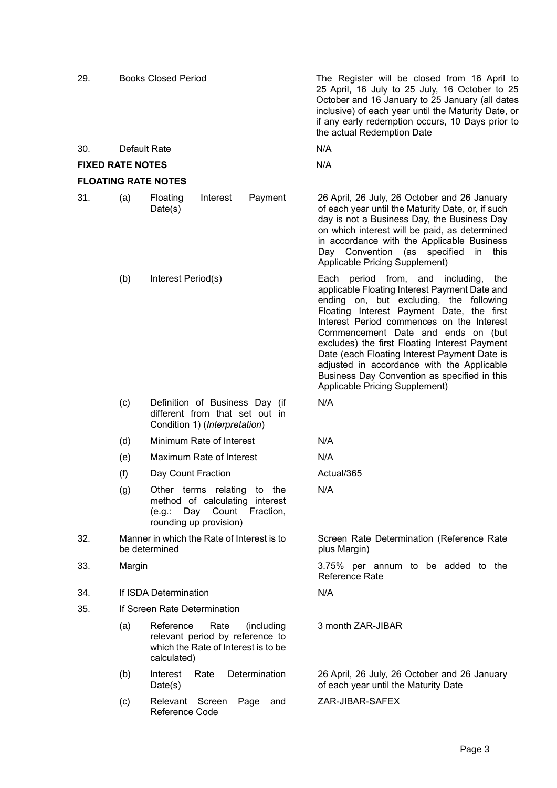| 29.                        |                                                                                                          | <b>Books Closed Period</b>                                                                                               | The Register will be closed from 16 April to<br>25 April, 16 July to 25 July, 16 October to 25<br>October and 16 January to 25 January (all dates<br>inclusive) of each year until the Maturity Date, or<br>if any early redemption occurs, 10 Days prior to<br>the actual Redemption Date                                                                                                                                                                                                           |
|----------------------------|----------------------------------------------------------------------------------------------------------|--------------------------------------------------------------------------------------------------------------------------|------------------------------------------------------------------------------------------------------------------------------------------------------------------------------------------------------------------------------------------------------------------------------------------------------------------------------------------------------------------------------------------------------------------------------------------------------------------------------------------------------|
| 30.                        | Default Rate                                                                                             |                                                                                                                          | N/A                                                                                                                                                                                                                                                                                                                                                                                                                                                                                                  |
| <b>FIXED RATE NOTES</b>    |                                                                                                          |                                                                                                                          | N/A                                                                                                                                                                                                                                                                                                                                                                                                                                                                                                  |
| <b>FLOATING RATE NOTES</b> |                                                                                                          |                                                                                                                          |                                                                                                                                                                                                                                                                                                                                                                                                                                                                                                      |
| 31.                        | (a)                                                                                                      | Interest<br>Payment<br>Floating<br>Date(s)                                                                               | 26 April, 26 July, 26 October and 26 January<br>of each year until the Maturity Date, or, if such<br>day is not a Business Day, the Business Day<br>on which interest will be paid, as determined<br>in accordance with the Applicable Business<br>Day Convention (as specified<br>this<br>in<br>Applicable Pricing Supplement)                                                                                                                                                                      |
|                            | (b)                                                                                                      | Interest Period(s)                                                                                                       | Each period from, and including,<br>the<br>applicable Floating Interest Payment Date and<br>ending on, but excluding, the following<br>Floating Interest Payment Date, the first<br>Interest Period commences on the Interest<br>Commencement Date and ends on (but<br>excludes) the first Floating Interest Payment<br>Date (each Floating Interest Payment Date is<br>adjusted in accordance with the Applicable<br>Business Day Convention as specified in this<br>Applicable Pricing Supplement) |
|                            | (c)<br>Definition of Business Day (if<br>different from that set out in<br>Condition 1) (Interpretation) |                                                                                                                          | N/A                                                                                                                                                                                                                                                                                                                                                                                                                                                                                                  |
|                            | (d)                                                                                                      | Minimum Rate of Interest                                                                                                 | N/A                                                                                                                                                                                                                                                                                                                                                                                                                                                                                                  |
|                            | (e)                                                                                                      | Maximum Rate of Interest                                                                                                 | N/A                                                                                                                                                                                                                                                                                                                                                                                                                                                                                                  |
|                            | (f)                                                                                                      | Day Count Fraction                                                                                                       | Actual/365                                                                                                                                                                                                                                                                                                                                                                                                                                                                                           |
|                            | (g)                                                                                                      | Other terms relating to the<br>method of calculating interest<br>(e.g.: Day Count<br>Fraction,<br>rounding up provision) | N/A                                                                                                                                                                                                                                                                                                                                                                                                                                                                                                  |
| 32.                        | Manner in which the Rate of Interest is to<br>be determined                                              |                                                                                                                          | Screen Rate Determination (Reference Rate<br>plus Margin)                                                                                                                                                                                                                                                                                                                                                                                                                                            |
| 33.                        | Margin                                                                                                   |                                                                                                                          | 3.75% per annum to be added to the<br><b>Reference Rate</b>                                                                                                                                                                                                                                                                                                                                                                                                                                          |
| 34.                        |                                                                                                          | If ISDA Determination                                                                                                    | N/A                                                                                                                                                                                                                                                                                                                                                                                                                                                                                                  |
| 35.                        |                                                                                                          | If Screen Rate Determination                                                                                             |                                                                                                                                                                                                                                                                                                                                                                                                                                                                                                      |
|                            | (a)                                                                                                      | Reference<br>Rate<br>(including<br>relevant period by reference to<br>which the Rate of Interest is to be<br>calculated) | 3 month ZAR-JIBAR                                                                                                                                                                                                                                                                                                                                                                                                                                                                                    |
|                            | (b)                                                                                                      | Determination<br>Interest<br>Rate<br>Date(s)                                                                             | 26 April, 26 July, 26 October and 26 January<br>of each year until the Maturity Date                                                                                                                                                                                                                                                                                                                                                                                                                 |
|                            | (c)                                                                                                      | Relevant Screen Page<br>and<br>Reference Code                                                                            | ZAR-JIBAR-SAFEX                                                                                                                                                                                                                                                                                                                                                                                                                                                                                      |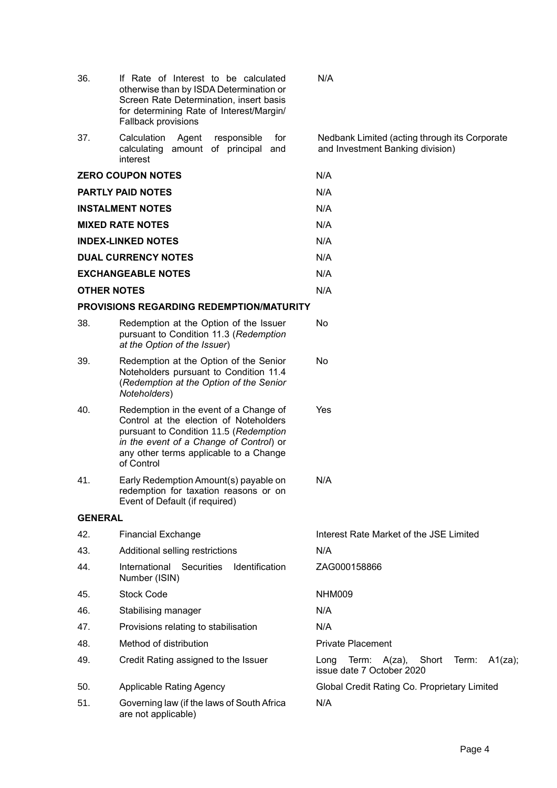| 36.                | If Rate of Interest to be calculated<br>otherwise than by ISDA Determination or<br>Screen Rate Determination, insert basis<br>for determining Rate of Interest/Margin/<br>Fallback provisions                                 | N/A                                                                               |  |
|--------------------|-------------------------------------------------------------------------------------------------------------------------------------------------------------------------------------------------------------------------------|-----------------------------------------------------------------------------------|--|
| 37.                | Calculation<br>Agent<br>responsible<br>for<br>amount of principal<br>calculating<br>and<br>interest                                                                                                                           | Nedbank Limited (acting through its Corporate<br>and Investment Banking division) |  |
|                    | <b>ZERO COUPON NOTES</b>                                                                                                                                                                                                      | N/A                                                                               |  |
|                    | <b>PARTLY PAID NOTES</b>                                                                                                                                                                                                      | N/A                                                                               |  |
|                    | <b>INSTALMENT NOTES</b>                                                                                                                                                                                                       | N/A                                                                               |  |
|                    | <b>MIXED RATE NOTES</b>                                                                                                                                                                                                       | N/A                                                                               |  |
|                    | <b>INDEX-LINKED NOTES</b>                                                                                                                                                                                                     | N/A                                                                               |  |
|                    | <b>DUAL CURRENCY NOTES</b>                                                                                                                                                                                                    | N/A                                                                               |  |
|                    | <b>EXCHANGEABLE NOTES</b>                                                                                                                                                                                                     | N/A                                                                               |  |
| <b>OTHER NOTES</b> |                                                                                                                                                                                                                               | N/A                                                                               |  |
|                    | <b>PROVISIONS REGARDING REDEMPTION/MATURITY</b>                                                                                                                                                                               |                                                                                   |  |
| 38.                | Redemption at the Option of the Issuer<br>No<br>pursuant to Condition 11.3 (Redemption<br>at the Option of the Issuer)                                                                                                        |                                                                                   |  |
| 39.                | Redemption at the Option of the Senior<br>Noteholders pursuant to Condition 11.4<br>(Redemption at the Option of the Senior<br>Noteholders)                                                                                   | No                                                                                |  |
| 40.                | Redemption in the event of a Change of<br>Control at the election of Noteholders<br>pursuant to Condition 11.5 (Redemption<br>in the event of a Change of Control) or<br>any other terms applicable to a Change<br>of Control | Yes                                                                               |  |
| 41.                | Early Redemption Amount(s) payable on<br>redemption for taxation reasons or on<br>Event of Default (if required)                                                                                                              | N/A                                                                               |  |
| <b>GENERAL</b>     |                                                                                                                                                                                                                               |                                                                                   |  |
| 42.                | <b>Financial Exchange</b>                                                                                                                                                                                                     | Interest Rate Market of the JSE Limited                                           |  |
| 43.                | Additional selling restrictions                                                                                                                                                                                               | N/A                                                                               |  |
| 44.                | International<br>Securities<br>Identification<br>Number (ISIN)                                                                                                                                                                | ZAG000158866                                                                      |  |
| 45.                | <b>Stock Code</b>                                                                                                                                                                                                             | NHM009                                                                            |  |
| 46.                | Stabilising manager                                                                                                                                                                                                           | N/A                                                                               |  |
| 47.                | Provisions relating to stabilisation                                                                                                                                                                                          | N/A                                                                               |  |
| 48.                | Method of distribution                                                                                                                                                                                                        | <b>Private Placement</b>                                                          |  |
| 49.                | Credit Rating assigned to the Issuer                                                                                                                                                                                          | A1(za);<br>Long<br>Term:<br>A(za),<br>Short<br>Term:<br>issue date 7 October 2020 |  |
| 50.                | <b>Applicable Rating Agency</b>                                                                                                                                                                                               | Global Credit Rating Co. Proprietary Limited                                      |  |
| 51.                | Governing law (if the laws of South Africa<br>are not applicable)                                                                                                                                                             | N/A                                                                               |  |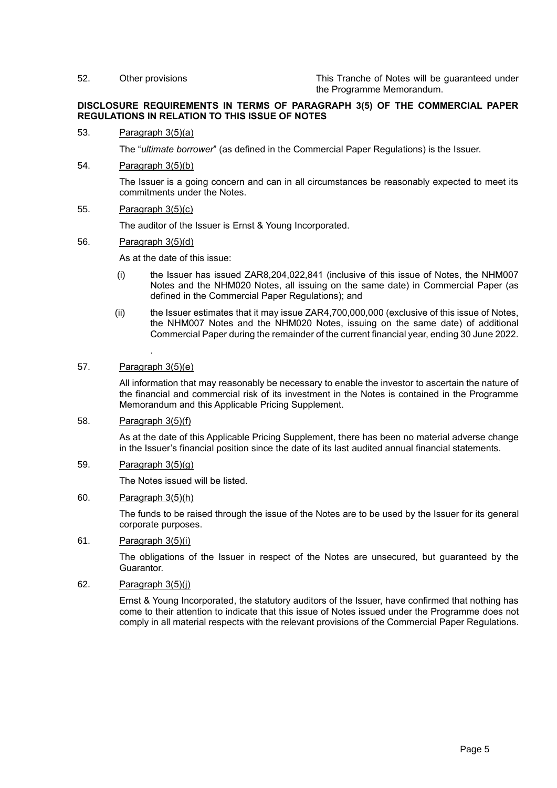52. Other provisions This Tranche of Notes will be guaranteed under the Programme Memorandum.

### **DISCLOSURE REQUIREMENTS IN TERMS OF PARAGRAPH 3(5) OF THE COMMERCIAL PAPER REGULATIONS IN RELATION TO THIS ISSUE OF NOTES**

#### 53. Paragraph 3(5)(a)

The "*ultimate borrower*" (as defined in the Commercial Paper Regulations) is the Issuer.

54. Paragraph 3(5)(b)

The Issuer is a going concern and can in all circumstances be reasonably expected to meet its commitments under the Notes.

### 55. Paragraph 3(5)(c)

The auditor of the Issuer is Ernst & Young Incorporated.

#### 56. Paragraph 3(5)(d)

As at the date of this issue:

- (i) the Issuer has issued ZAR8,204,022,841 (inclusive of this issue of Notes, the NHM007 Notes and the NHM020 Notes, all issuing on the same date) in Commercial Paper (as defined in the Commercial Paper Regulations); and
- (ii) the Issuer estimates that it may issue ZAR4,700,000,000 (exclusive of this issue of Notes, the NHM007 Notes and the NHM020 Notes, issuing on the same date) of additional Commercial Paper during the remainder of the current financial year, ending 30 June 2022.

# 57. Paragraph 3(5)(e)

.

All information that may reasonably be necessary to enable the investor to ascertain the nature of the financial and commercial risk of its investment in the Notes is contained in the Programme Memorandum and this Applicable Pricing Supplement.

#### 58. Paragraph 3(5)(f)

As at the date of this Applicable Pricing Supplement, there has been no material adverse change in the Issuer's financial position since the date of its last audited annual financial statements.

## 59. Paragraph 3(5)(g)

The Notes issued will be listed.

# 60. Paragraph 3(5)(h)

The funds to be raised through the issue of the Notes are to be used by the Issuer for its general corporate purposes.

## 61. Paragraph 3(5)(i)

The obligations of the Issuer in respect of the Notes are unsecured, but guaranteed by the Guarantor.

### 62. Paragraph 3(5)(j)

Ernst & Young Incorporated, the statutory auditors of the Issuer, have confirmed that nothing has come to their attention to indicate that this issue of Notes issued under the Programme does not comply in all material respects with the relevant provisions of the Commercial Paper Regulations.